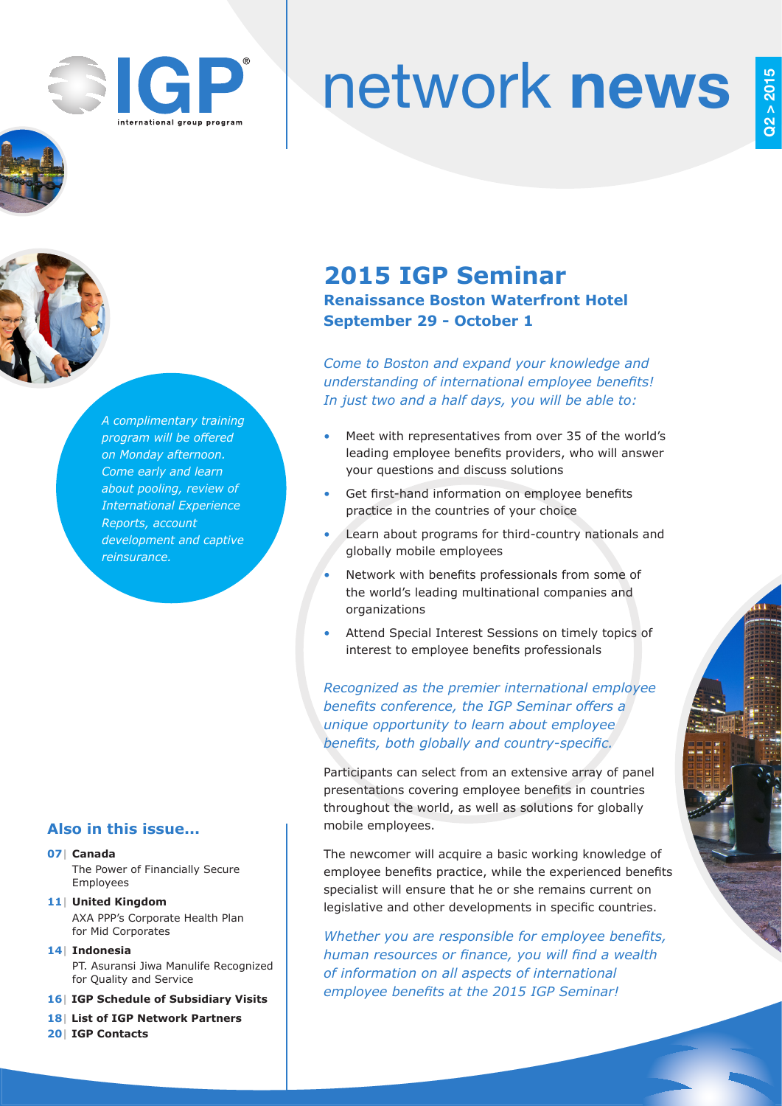

# network news





*A complimentary training program will be offered on Monday afternoon. Come early and learn about pooling, review of International Experience Reports, account development and captive reinsurance.* 

## **Also in this issue...**

#### **07| Canada**

The Power of Financially Secure Employees

- **11| United Kingdom** AXA PPP's Corporate Health Plan for Mid Corporates
- **14| Indonesia** PT. Asuransi Jiwa Manulife Recognized for Quality and Service

**16| IGP Schedule of Subsidiary Visits**

- **18| List of IGP Network Partners**
- **20| IGP Contacts**

## **2015 IGP Seminar Renaissance Boston Waterfront Hotel September 29 - October 1**

*Come to Boston and expand your knowledge and understanding of international employee benefits! In just two and a half days, you will be able to:*

- Meet with representatives from over 35 of the world's leading employee benefits providers, who will answer your questions and discuss solutions
- Get first-hand information on employee benefits practice in the countries of your choice
- Learn about programs for third-country nationals and globally mobile employees
- Network with benefits professionals from some of the world's leading multinational companies and organizations
- Attend Special Interest Sessions on timely topics of interest to employee benefits professionals

*Recognized as the premier international employee benefits conference, the IGP Seminar offers a unique opportunity to learn about employee benefits, both globally and country-specific.*

Participants can select from an extensive array of panel presentations covering employee benefits in countries throughout the world, as well as solutions for globally mobile employees.

The newcomer will acquire a basic working knowledge of employee benefits practice, while the experienced benefits specialist will ensure that he or she remains current on legislative and other developments in specific countries.

*Whether you are responsible for employee benefits, human resources or finance, you will find a wealth of information on all aspects of international employee benefits at the 2015 IGP Seminar!*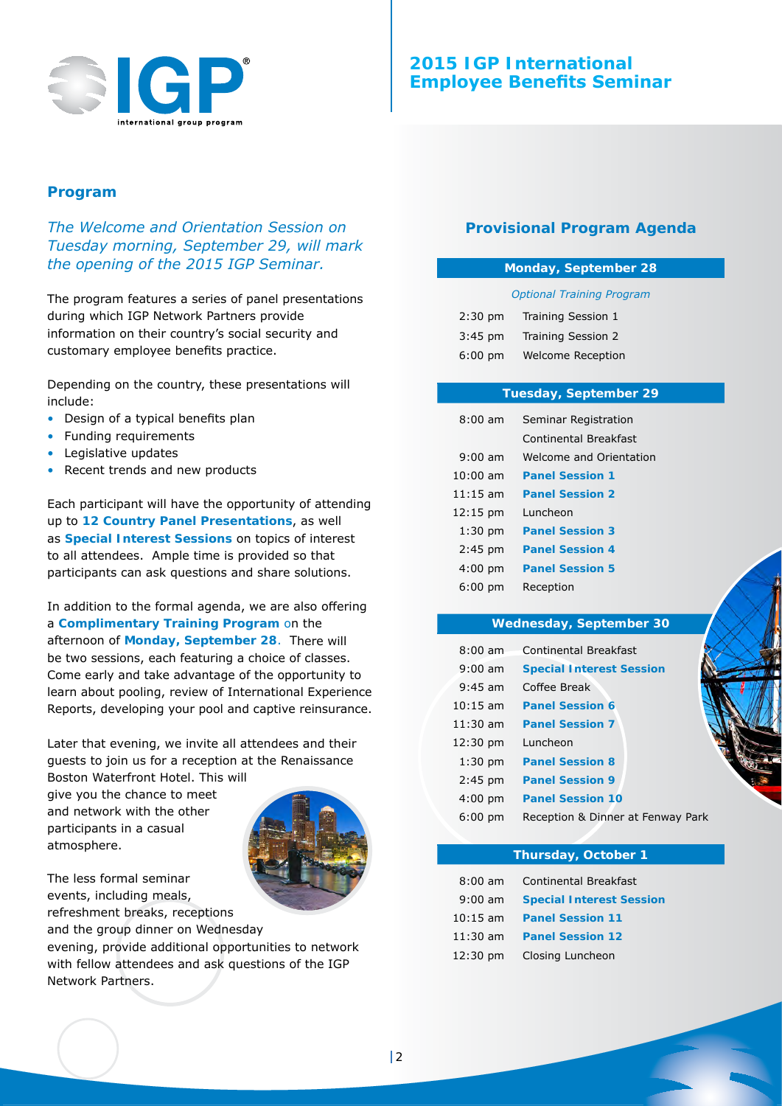

## **Program**

*The Welcome and Orientation Session on Tuesday morning, September 29, will mark the opening of the 2015 IGP Seminar.*

The program features a series of panel presentations during which IGP Network Partners provide information on their country's social security and customary employee benefits practice.

Depending on the country, these presentations will include:

- Design of a typical benefits plan
- Funding requirements
- • Legislative updates
- Recent trends and new products

Each participant will have the opportunity of attending up to **12 Country Panel Presentations**, as well as **Special Interest Sessions** on topics of interest to all attendees. Ample time is provided so that participants can ask questions and share solutions.

In addition to the formal agenda, we are also offering a **Complimentary Training Program** on the afternoon of **Monday, September 28**. There will be two sessions, each featuring a choice of classes. Come early and take advantage of the opportunity to learn about pooling, review of International Experience Reports, developing your pool and captive reinsurance.

Later that evening, we invite all attendees and their guests to join us for a reception at the Renaissance

Boston Waterfront Hotel. This will give you the chance to meet and network with the other participants in a casual atmosphere.



The less formal seminar events, including meals, refreshment breaks, receptions

and the group dinner on Wednesday evening, provide additional opportunities to network with fellow attendees and ask questions of the IGP Network Partners.

## **Provisional Program Agenda**

#### **Monday, September 28**

#### *Optional Training Program*

| $2:30$ pm         | Training Session 1       |
|-------------------|--------------------------|
| $3:45$ pm         | Training Session 2       |
| $6:00 \text{ pm}$ | <b>Welcome Reception</b> |

#### **Tuesday, September 29**

| $8:00 \text{ am}$  | Seminar Registration    |
|--------------------|-------------------------|
|                    | Continental Breakfast   |
| $9:00 \text{ am}$  | Welcome and Orientation |
| $10:00$ am         | <b>Panel Session 1</b>  |
| $11:15$ am         | <b>Panel Session 2</b>  |
| $12:15 \text{ pm}$ | Luncheon                |
| $1:30$ pm          | <b>Panel Session 3</b>  |
| $2:45$ pm          | <b>Panel Session 4</b>  |
| $4:00$ pm          | <b>Panel Session 5</b>  |
| $6:00$ pm          | Reception               |

#### **Wednesday, September 30**

| $8:00 \text{ am}$  | Continental Breakfast             |
|--------------------|-----------------------------------|
| $9:00$ am          | <b>Special Interest Session</b>   |
| $9:45$ am          | Coffee Break                      |
| $10:15$ am         | <b>Panel Session 6</b>            |
| $11:30$ am         | <b>Panel Session 7</b>            |
| $12:30 \text{ pm}$ | Luncheon                          |
| $1:30$ pm          | <b>Panel Session 8</b>            |
| $2:45$ pm          | <b>Panel Session 9</b>            |
| $4:00 \text{ pm}$  | <b>Panel Session 10</b>           |
| $6:00 \text{ pm}$  | Reception & Dinner at Fenway Park |

#### **Thursday, October 1**

| $8:00 \text{ am}$  | <b>Continental Breakfast</b>    |
|--------------------|---------------------------------|
| $9:00$ am          | <b>Special Interest Session</b> |
| $10:15$ am         | <b>Panel Session 11</b>         |
| $11:30$ am         | <b>Panel Session 12</b>         |
| $12:30 \text{ pm}$ | Closing Luncheon                |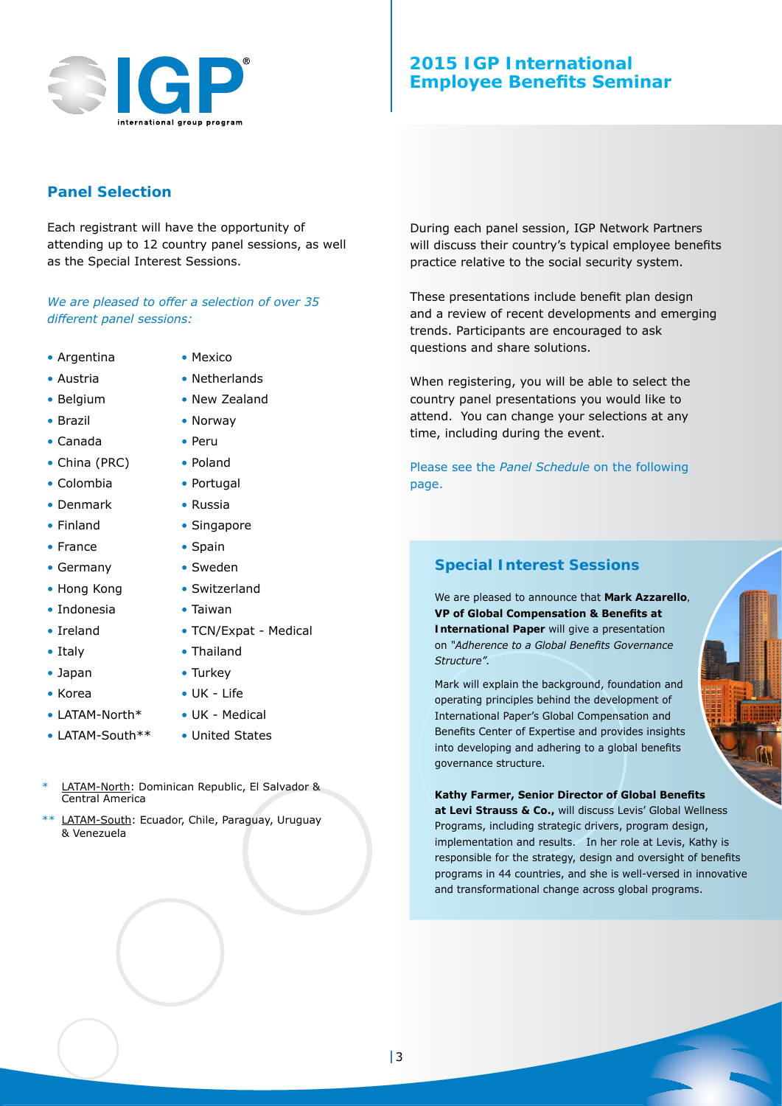

## **Panel Selection**

Each registrant will have the opportunity of attending up to 12 country panel sessions, as well as the Special Interest Sessions.

*We are pleased to offer a selection of over 35 different panel sessions:*

- Argentina
- • Austria

• Brazil • Canada • China (PRC) • Colombia • Denmark • Finland • France • Germany • Hong Kong • Indonesia • Ireland • Italy • Japan • Korea

• Belaium

• LATAM-North\* • LATAM-South\*\*

- Netherlands
	- New Zealand

• Mexico

- Norway
- • Peru
- • Poland
- Portugal
- • Russia
- Singapore
- • Spain
	- Sweden
		- Switzerland
	- • Taiwan
		- TCN/Expat Medical
		- • Thailand
		- Turkey
		- • UK Life
		- • UK Medical
	- United States
- LATAM-North: Dominican Republic, El Salvador & Central America
- \*\* LATAM-South: Ecuador, Chile, Paraguay, Uruguay & Venezuela

During each panel session, IGP Network Partners will discuss their country's typical employee benefits practice relative to the social security system.

These presentations include benefit plan design and a review of recent developments and emerging trends. Participants are encouraged to ask questions and share solutions.

When registering, you will be able to select the country panel presentations you would like to attend. You can change your selections at any time, including during the event.

Please see the *Panel Schedule* on the following page.

## **Special Interest Sessions**

We are pleased to announce that **Mark Azzarello***,*  **VP of Global Compensation & Benefits at International Paper** will give a presentation on *"Adherence to a Global Benefits Governance Structure".*

Mark will explain the background, foundation and operating principles behind the development of International Paper's Global Compensation and Benefits Center of Expertise and provides insights into developing and adhering to a global benefits governance structure.

## **Kathy Farmer, Senior Director of Global Benefits**

**at Levi Strauss & Co.,** will discuss Levis' Global Wellness Programs, including strategic drivers, program design, implementation and results. In her role at Levis, Kathy is responsible for the strategy, design and oversight of benefits programs in 44 countries, and she is well-versed in innovative and transformational change across global programs.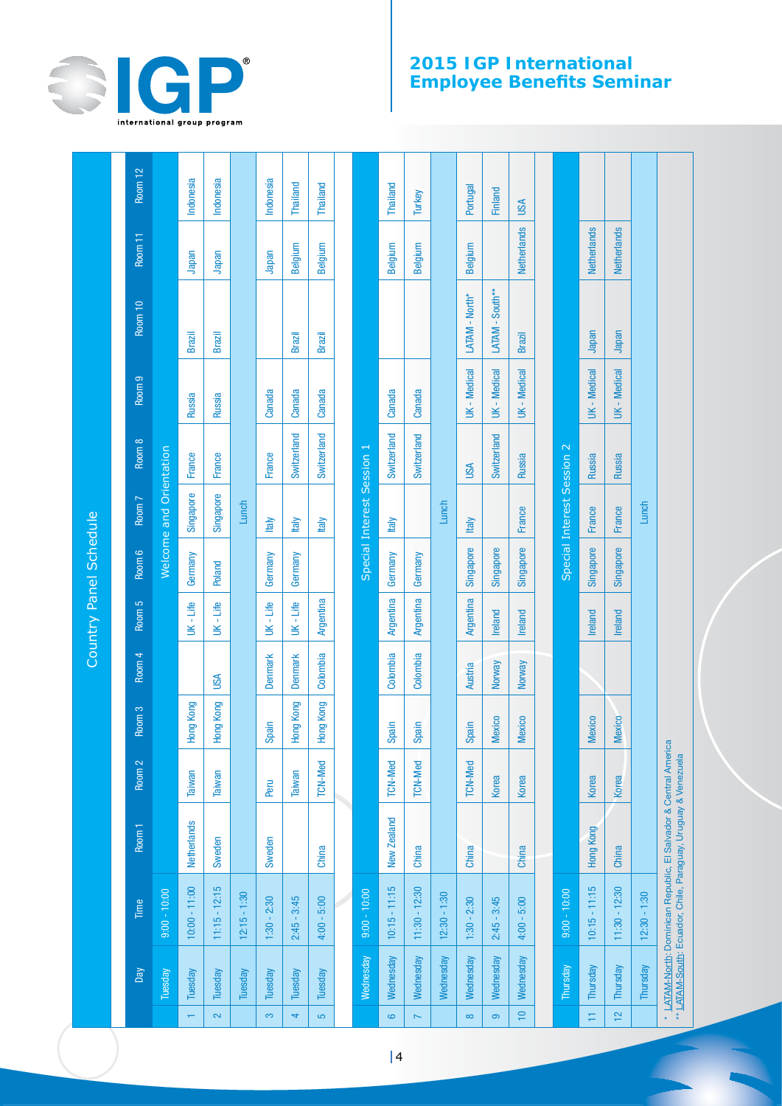

## **2015 IGP International Employee Benefits Seminar**

|                         |                  |                                                                                                                                   |             |                   |                   |                   |           | Country Panel Schedule |                            |               |                   |                 |                    |                |
|-------------------------|------------------|-----------------------------------------------------------------------------------------------------------------------------------|-------------|-------------------|-------------------|-------------------|-----------|------------------------|----------------------------|---------------|-------------------|-----------------|--------------------|----------------|
|                         |                  |                                                                                                                                   |             |                   |                   |                   |           |                        |                            |               |                   |                 |                    |                |
|                         | Day              | Time                                                                                                                              | Room 1      | Room <sub>2</sub> | Room <sub>3</sub> | Room <sub>4</sub> | Room 5    | Room 6                 | Room 7                     | Room 8        | Room <sub>9</sub> | Room 10         | Room 11            | Room 12        |
|                         | <b>Tuesday</b>   | $9:00 - 10:00$                                                                                                                    |             |                   |                   |                   |           |                        | Welcome and Orientation    |               |                   |                 |                    |                |
|                         | Tuesday          | $10:00 - 11:00$                                                                                                                   | Netherlands | Taiwan            | <b>Hong Kong</b>  |                   | UK - Life | Germany                | Singapore                  | France        | Russia            | <b>Brazil</b>   | Japan              | Indonesia      |
| $\overline{\mathbf{c}}$ | Tuesday          | $11:15 - 12:15$                                                                                                                   | Sweden      | Taiwan            | Hong Kong         | USA               | UK - Life | Poland                 | Singapore                  | France        | Russia            | Brazil          | Japan              | Indonesia      |
|                         | Tuesday          | $12:15 - 1:30$                                                                                                                    |             |                   |                   |                   |           |                        | Lunch                      |               |                   |                 |                    |                |
| က                       | Tuesday          | $1:30 - 2:30$                                                                                                                     | Sweden      | Peru              | Spain             | <b>Denmark</b>    | UK - Life | Germany                | <b>Italy</b>               | France        | Canada            |                 | Japan              | Indonesia      |
| 4                       | Tuesday          | $2:45 - 3:45$                                                                                                                     |             | Taiwan            | Hong Kong         | <b>Denmark</b>    | UK - Life | Germany                | <b>Italy</b>               | Switzerland   | Canada            | <b>Brazil</b>   | Belgium            | Thailand       |
| S                       | Tuesday          | $4:00 - 5:00$                                                                                                                     | China       | <b>TCN-Med</b>    | Hong Kong         | Colombia          | Argentina |                        | Italy                      | Switzerland   | Canada            | <b>Brazil</b>   | Belgium            | Thailand       |
|                         |                  |                                                                                                                                   |             |                   |                   |                   |           |                        |                            |               |                   |                 |                    |                |
|                         | <b>Wednesday</b> | $9:00 - 10:00$                                                                                                                    |             |                   |                   |                   |           |                        | Special Interest Session 1 |               |                   |                 |                    |                |
| $\bullet$               | Wednesday        | $10:15 - 11:15$                                                                                                                   | New Zealand | <b>TCN-Med</b>    | Spain             | Colombia          | Argentina | Germany                | <b>Italy</b>               | Switzerland   | Canada            |                 | Belgium            | Thailand       |
| $\overline{ }$          | Wednesday        | $11:30 - 12:30$                                                                                                                   | China       | TCN-Med           | Spain             | Colombia          | Argentina | Germany                |                            | Switzerland   | Canada            |                 | Belgium            | Turkey         |
|                         | Wednesday        | $12:30 - 1:30$                                                                                                                    |             |                   |                   |                   |           |                        | Lunch                      |               |                   |                 |                    |                |
| $\infty$                | Wednesday        | $1:30 - 2:30$                                                                                                                     | China       | <b>TCN-Med</b>    | Spain             | <b>Austria</b>    | Argentina | Singapore              | <b>Italy</b>               | <b>USA</b>    | UK - Medical      | LATAM - North*  | Belgium            | Portugal       |
| ၜ                       | Wednesday        | $2:45 - 3:45$                                                                                                                     |             | Korea             | <b>Mexico</b>     | Norway            | Ireland   | Singapore              |                            | Switzerland   | UK - Medical      | LATAM - South** |                    | <b>Finland</b> |
| $\frac{1}{2}$           | Wednesday        | $4:00 - 5:00$                                                                                                                     | China       | Korea             | Mexico            | Norway            | Ireland   | Singapore              | France                     | <b>Russia</b> | UK - Medical      | <b>Brazil</b>   | <b>Netherlands</b> | USA            |
|                         |                  |                                                                                                                                   |             |                   |                   |                   |           |                        |                            |               |                   |                 |                    |                |
|                         | Thursday         | $9:00 - 10:00$                                                                                                                    |             |                   |                   |                   |           |                        | Special Interest Session 2 |               |                   |                 |                    |                |
| Ξ                       | Thursday         | $10:15 - 11:15$                                                                                                                   | Hong Kong   | Korea             | Mexico            |                   | Ireland   | Singapore              | France                     | Russia        | UK - Medical      | Japan           | <b>Netherlands</b> |                |
| $\tilde{c}$             | Thursday         | $11:30 - 12:30$                                                                                                                   | China       | <b>Korea</b>      | <b>Mexico</b>     |                   | Ireland   | Singapore              | France                     | <b>Russia</b> | UK - Medical      | Japan           | <b>Netherlands</b> |                |
|                         | Thursday         | $12:30 - 1:30$                                                                                                                    |             |                   |                   |                   |           |                        | Lunch                      |               |                   |                 |                    |                |
|                         |                  | * LATAM-North: Dominican Republic, El Salvador & Central America<br>** LATAM-South: Ecuador, Chile, Paraguay, Uruguay & Venezuela |             |                   |                   |                   |           |                        |                            |               |                   |                 |                    |                |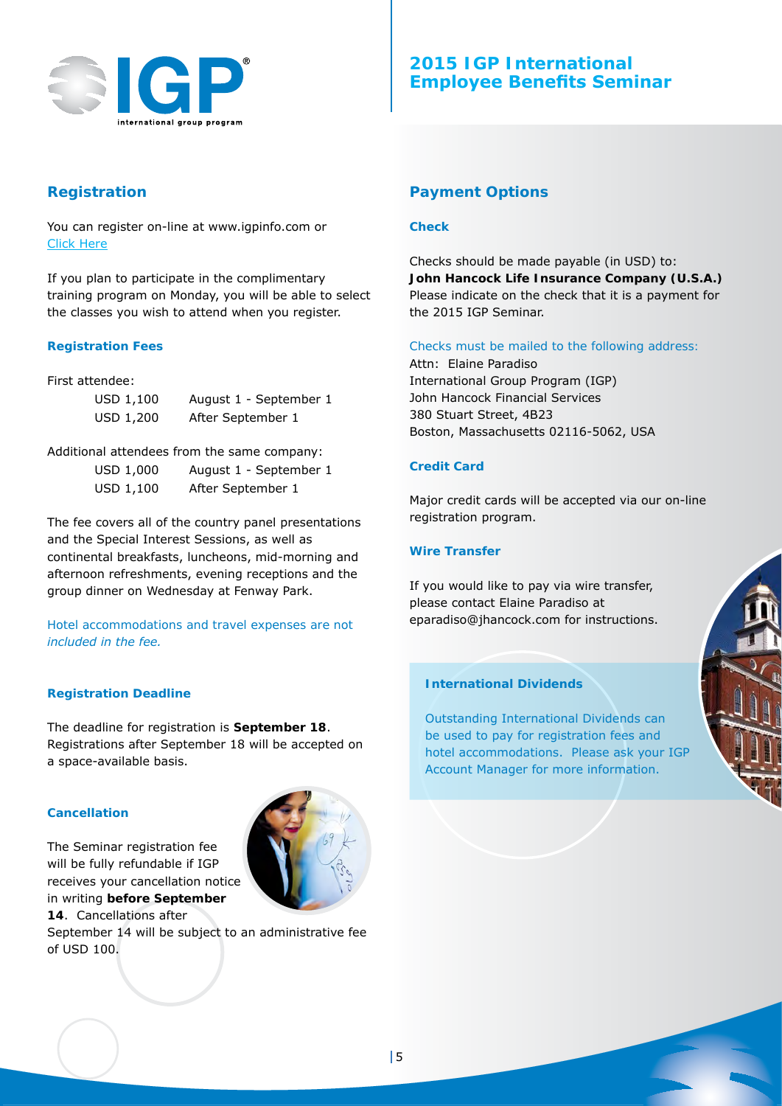

## **Registration**

You can register on-line at www.igpinfo.com or Click [Here](https://www.cvent.com/events/2015-igp-seminar-boston-/registration-897357866f964da7b58e4c1b0358598c.aspx)

If you plan to participate in the complimentary training program on Monday, you will be able to select the classes you wish to attend when you register.

## **Registration Fees**

First attendee:

| USD 1,100 | August 1 - September 1 |
|-----------|------------------------|
| USD 1,200 | After September 1      |

Additional attendees from the same company:

| USD 1,000 | August 1 - September 1 |
|-----------|------------------------|
| USD 1,100 | After September 1      |

The fee covers all of the country panel presentations and the Special Interest Sessions, as well as continental breakfasts, luncheons, mid-morning and afternoon refreshments, evening receptions and the group dinner on Wednesday at Fenway Park.

*Hotel accommodations and travel expenses are not included in the fee.*

## **Registration Deadline**

The deadline for registration is **September 18**. Registrations after September 18 will be accepted on a space-available basis.

## **Cancellation**

The Seminar registration fee will be fully refundable if IGP receives your cancellation notice in writing **before September 14**. Cancellations after



September 14 will be subject to an administrative fee of USD 100.

## **Payment Options**

#### **Check**

Checks should be made payable (in USD) to: **John Hancock Life Insurance Company (U.S.A.)** Please indicate on the check that it is a payment for the 2015 IGP Seminar.

## *Checks must be mailed to the following address:*

Attn: Elaine Paradiso International Group Program (IGP) John Hancock Financial Services 380 Stuart Street, 4B23 Boston, Massachusetts 02116-5062, USA

## **Credit Card**

Major credit cards will be accepted via our on-line registration program.

## **Wire Transfer**

If you would like to pay via wire transfer, please contact Elaine Paradiso at eparadiso@jhancock.com for instructions.

## **International Dividends**

Outstanding International Dividends can be used to pay for registration fees and hotel accommodations. Please ask your IGP Account Manager for more information.

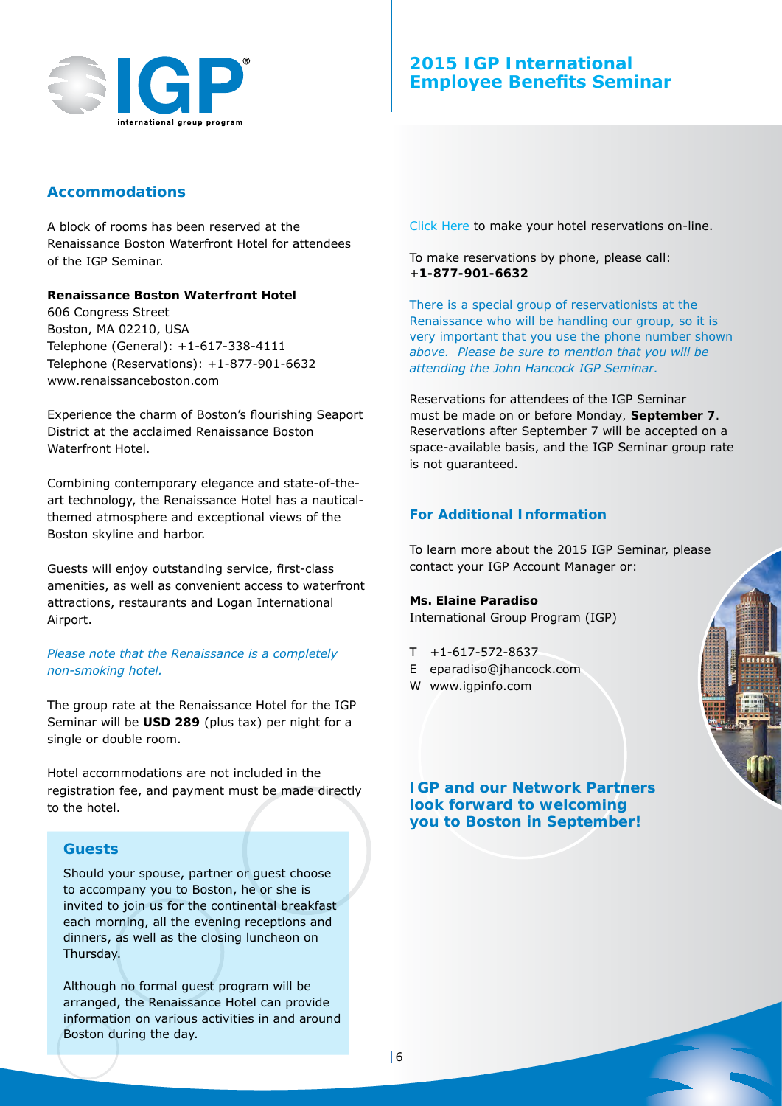

## **Accommodations**

A block of rooms has been reserved at the Renaissance Boston Waterfront Hotel for attendees of the IGP Seminar.

#### **Renaissance Boston Waterfront Hotel**

606 Congress Street Boston, MA 02210, USA Telephone (General): +1-617-338-4111 Telephone (Reservations): +1-877-901-6632 www.renaissanceboston.com

Experience the charm of Boston's flourishing Seaport District at the acclaimed Renaissance Boston Waterfront Hotel

Combining contemporary elegance and state-of-theart technology, the Renaissance Hotel has a nauticalthemed atmosphere and exceptional views of the Boston skyline and harbor.

Guests will enjoy outstanding service, first-class amenities, as well as convenient access to waterfront attractions, restaurants and Logan International Airport.

## *Please note that the Renaissance is a completely non-smoking hotel.*

The group rate at the Renaissance Hotel for the IGP Seminar will be **USD 289** (plus tax) per night for a single or double room.

Hotel accommodations are not included in the registration fee, and payment must be made directly to the hotel.

## **Guests**

Should your spouse, partner or guest choose to accompany you to Boston, he or she is invited to join us for the continental breakfast each morning, all the evening receptions and dinners, as well as the closing luncheon on Thursday.

Although no formal guest program will be arranged, the Renaissance Hotel can provide information on various activities in and around Boston during the day.

Click [Here](https://aws.passkey.com/g/40368155) to make your hotel reservations on-line. 

## To make reservations by phone, please call: +**1-877-901-6632**

*There is a special group of reservationists at the Renaissance who will be handling our group, so it is very important that you use the phone number shown above. Please be sure to mention that you will be attending the John Hancock IGP Seminar.*

Reservations for attendees of the IGP Seminar must be made *on or before Monday,* **September 7**. Reservations after September 7 will be accepted on a space-available basis, and the IGP Seminar group rate is not guaranteed.

## **For Additional Information**

To learn more about the 2015 IGP Seminar, please contact your IGP Account Manager or:

## **Ms. Elaine Paradiso**

International Group Program (IGP)

- $T + 1 617 572 8637$
- E eparadiso@jhancock.com
- W www.igpinfo.com

*IGP and our Network Partners look forward to welcoming you to Boston in September!*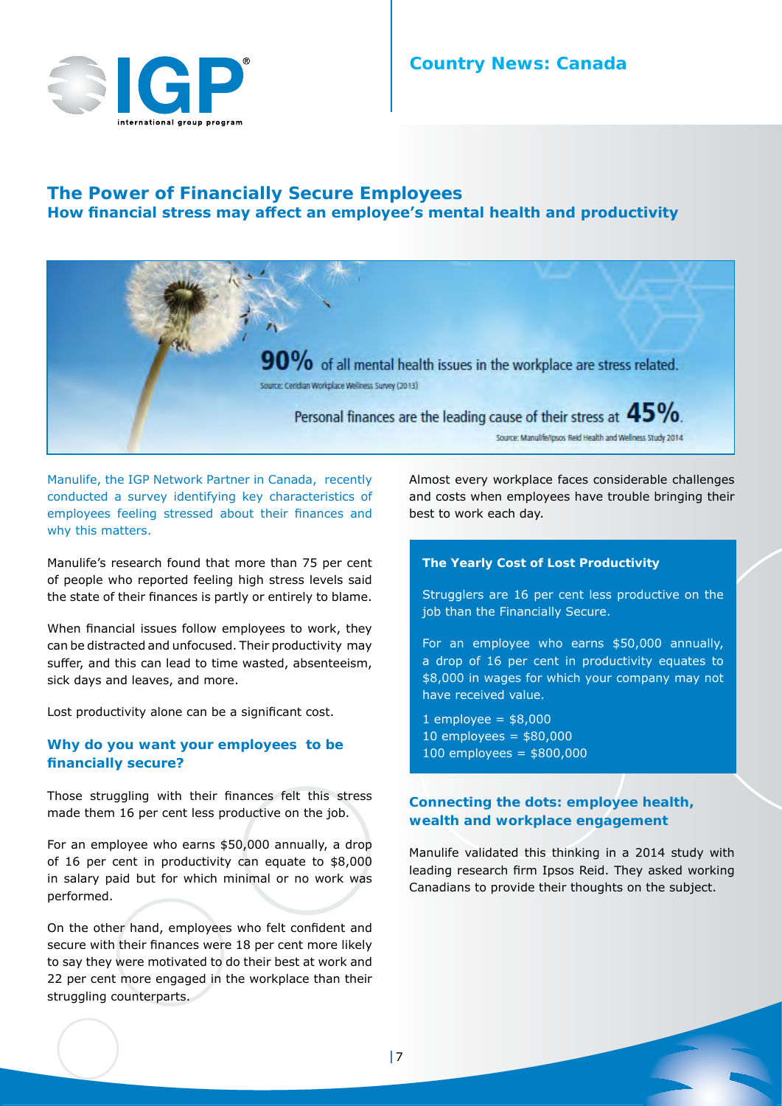

## **The Power of Financially Secure Employees How financial stress may affect an employee's mental health and productivity**



Manulife, the IGP Network Partner in Canada, recently conducted a survey identifying key characteristics of employees feeling stressed about their finances and why this matters.

Manulife's research found that more than 75 per cent of people who reported feeling high stress levels said the state of their finances is partly or entirely to blame.

When financial issues follow employees to work, they can be distracted and unfocused. Their productivity may suffer, and this can lead to time wasted, absenteeism, sick days and leaves, and more.

Lost productivity alone can be a significant cost.

## **Why do you want your employees to be financially secure?**

Those struggling with their finances felt this stress made them 16 per cent less productive on the job.

For an employee who earns \$50,000 annually, a drop of 16 per cent in productivity can equate to \$8,000 in salary paid but for which minimal or no work was performed.

On the other hand, employees who felt confident and secure with their finances were 18 per cent more likely to say they were motivated to do their best at work and 22 per cent more engaged in the workplace than their struggling counterparts.

Almost every workplace faces considerable challenges and costs when employees have trouble bringing their best to work each day.

#### **The Yearly Cost of Lost Productivity**

Strugglers are 16 per cent less productive on the job than the Financially Secure.

For an employee who earns \$50,000 annually, a drop of 16 per cent in productivity equates to \$8,000 in wages for which your company may not have received value.

 $1$  employee =  $$8,000$ 10 employees =  $$80,000$ 100 employees = \$800,000

## **Connecting the dots: employee health, wealth and workplace engagement**

Manulife validated this thinking in a 2014 study with leading research firm Ipsos Reid. They asked working Canadians to provide their thoughts on the subject.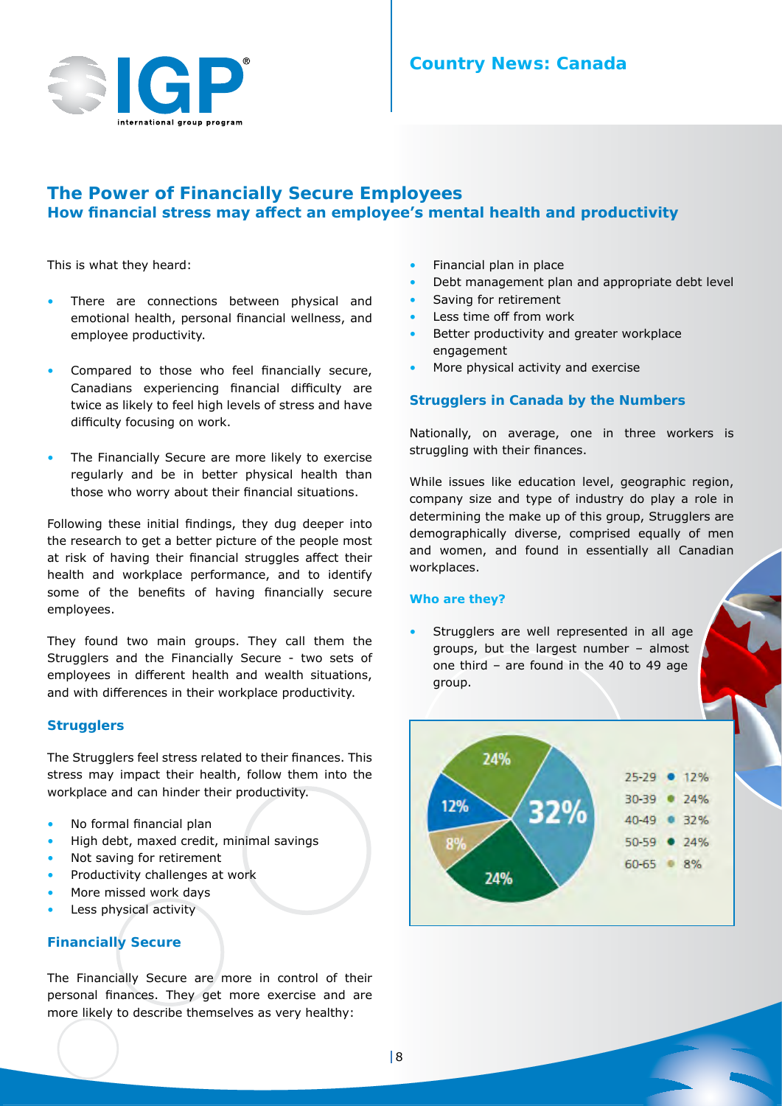

## **Country News: Canada**

## **The Power of Financially Secure Employees How financial stress may affect an employee's mental health and productivity**

This is what they heard:

- There are connections between physical and emotional health, personal financial wellness, and employee productivity.
- Compared to those who feel financially secure, Canadians experiencing financial difficulty are twice as likely to feel high levels of stress and have difficulty focusing on work.
- The Financially Secure are more likely to exercise regularly and be in better physical health than those who worry about their financial situations.

Following these initial findings, they dug deeper into the research to get a better picture of the people most at risk of having their financial struggles affect their health and workplace performance, and to identify some of the benefits of having financially secure employees.

They found two main groups. They call them the Strugglers and the Financially Secure - two sets of employees in different health and wealth situations, and with differences in their workplace productivity.

#### **Strugglers**

The Strugglers feel stress related to their finances. This stress may impact their health, follow them into the workplace and can hinder their productivity.

- No formal financial plan
- High debt, maxed credit, minimal savings
- Not saving for retirement
- Productivity challenges at work
- More missed work days
- Less physical activity

## **Financially Secure**

The Financially Secure are more in control of their personal finances. They get more exercise and are more likely to describe themselves as very healthy:

- Financial plan in place
- Debt management plan and appropriate debt level
- Saving for retirement
- Less time off from work
- Better productivity and greater workplace engagement
- More physical activity and exercise

## **Strugglers in Canada by the Numbers**

Nationally, on average, one in three workers is struggling with their finances.

While issues like education level, geographic region, company size and type of industry do play a role in determining the make up of this group, Strugglers are demographically diverse, comprised equally of men and women, and found in essentially all Canadian workplaces.

#### **Who are they?**

Strugglers are well represented in all age groups, but the largest number – almost one third – are found in the 40 to 49 age group.

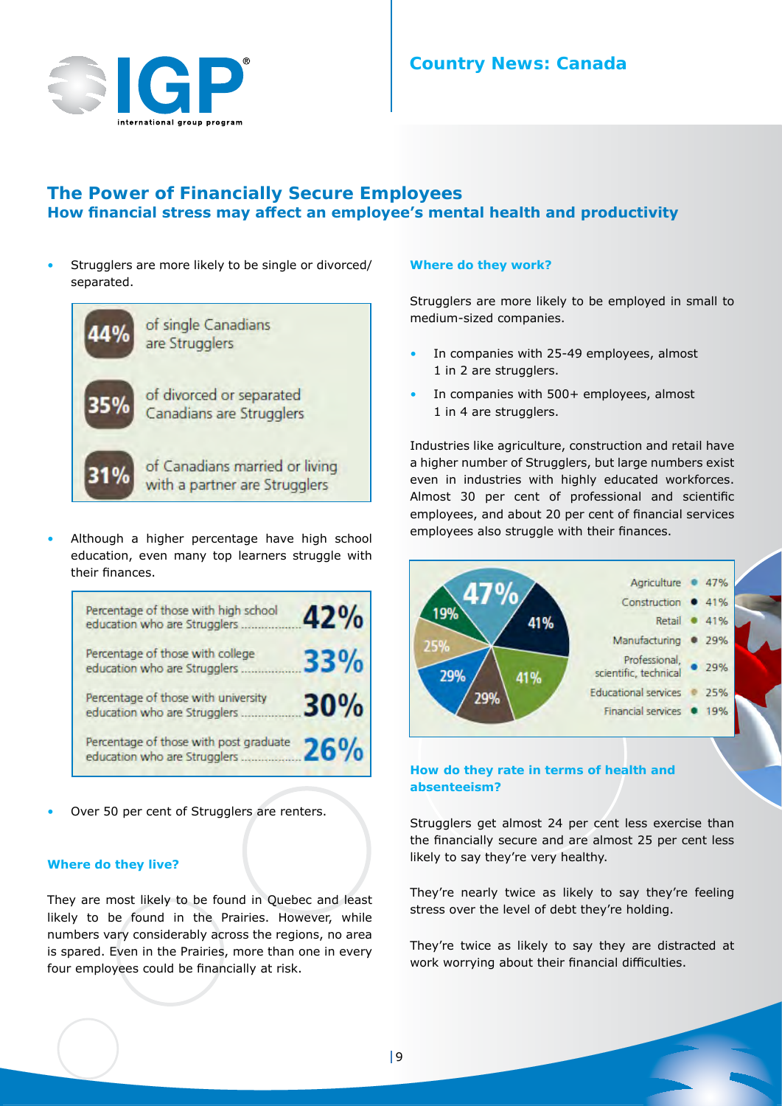

## **The Power of Financially Secure Employees How financial stress may affect an employee's mental health and productivity**

Strugglers are more likely to be single or divorced/ separated.



Although a higher percentage have high school education, even many top learners struggle with their finances.

| Percentage of those with high school<br>education who are Strugglers   | 42%        |
|------------------------------------------------------------------------|------------|
| Percentage of those with college<br>education who are Strugglers       | <b>33%</b> |
| Percentage of those with university<br>education who are Strugglers    | 30%        |
| Percentage of those with post graduate<br>education who are Strugglers | 26%        |

Over 50 per cent of Strugglers are renters.

#### **Where do they live?**

They are most likely to be found in Quebec and least likely to be found in the Prairies. However, while numbers vary considerably across the regions, no area is spared. Even in the Prairies, more than one in every four employees could be financially at risk.

#### **Where do they work?**

Strugglers are more likely to be employed in small to medium-sized companies.

- In companies with 25-49 employees, almost 1 in 2 are strugglers.
- In companies with 500+ employees, almost 1 in 4 are strugglers.

Industries like agriculture, construction and retail have a higher number of Strugglers, but large numbers exist even in industries with highly educated workforces. Almost 30 per cent of professional and scientific employees, and about 20 per cent of financial services employees also struggle with their finances.



## **How do they rate in terms of health and absenteeism?**

Strugglers get almost 24 per cent less exercise than the financially secure and are almost 25 per cent less likely to say they're very healthy.

They're nearly twice as likely to say they're feeling stress over the level of debt they're holding.

They're twice as likely to say they are distracted at work worrying about their financial difficulties.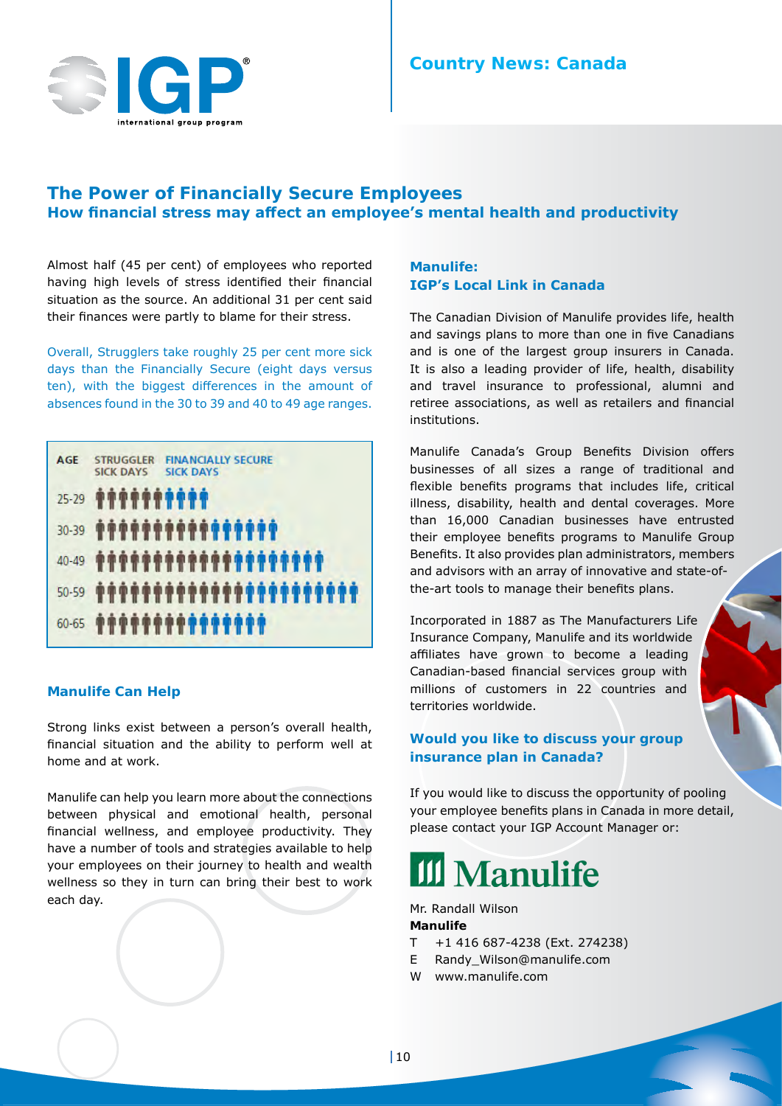

## **The Power of Financially Secure Employees How financial stress may affect an employee's mental health and productivity**

Almost half (45 per cent) of employees who reported having high levels of stress identified their financial situation as the source. An additional 31 per cent said their finances were partly to blame for their stress.

Overall, Strugglers take roughly 25 per cent more sick days than the Financially Secure (eight days versus ten), with the biggest differences in the amount of absences found in the 30 to 39 and 40 to 49 age ranges.

| <b>AGE</b> | <b>FINANCIALLY SECURE</b><br><b>STRUGGLER</b><br><b>SICK DAYS</b><br>SICK DAYS |
|------------|--------------------------------------------------------------------------------|
| $25 - 29$  | <b><i></i></b>                                                                 |
| $30 - 39$  |                                                                                |
| $40 - 49$  | *******************                                                            |
| $50 - 59$  | **********************                                                         |
| $60 - 65$  | <b>*************</b>                                                           |

## **Manulife Can Help**

Strong links exist between a person's overall health, financial situation and the ability to perform well at home and at work.

Manulife can help you learn more about the connections between physical and emotional health, personal financial wellness, and employee productivity. They have a number of tools and strategies available to help your employees on their journey to health and wealth wellness so they in turn can bring their best to work each day.

## **Manulife: IGP's Local Link in Canada**

The Canadian Division of Manulife provides life, health and savings plans to more than one in five Canadians and is one of the largest group insurers in Canada. It is also a leading provider of life, health, disability and travel insurance to professional, alumni and retiree associations, as well as retailers and financial institutions.

Manulife Canada's Group Benefits Division offers businesses of all sizes a range of traditional and flexible benefits programs that includes life, critical illness, disability, health and dental coverages. More than 16,000 Canadian businesses have entrusted their employee benefits programs to Manulife Group Benefits. It also provides plan administrators, members and advisors with an array of innovative and state-ofthe-art tools to manage their benefits plans.

Incorporated in 1887 as The Manufacturers Life Insurance Company, Manulife and its worldwide affiliates have grown to become a leading Canadian-based financial services group with millions of customers in 22 countries and territories worldwide.

## **Would you like to discuss your group insurance plan in Canada?**

If you would like to discuss the opportunity of pooling your employee benefits plans in Canada in more detail, please contact your IGP Account Manager or:

## **III** Manulife

Mr. Randall Wilson **Manulife**

- T +1 416 687-4238 (Ext. 274238)
- E Randy Wilson@manulife.com
- W www.manulife.com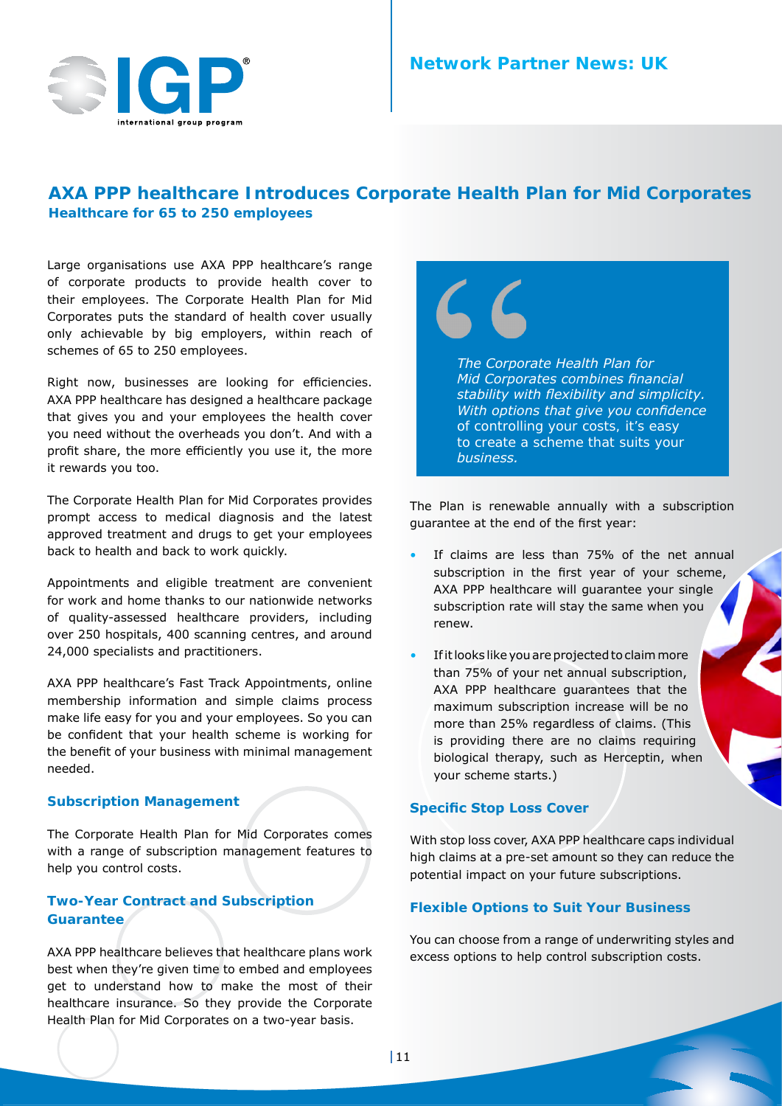

## **AXA PPP healthcare Introduces Corporate Health Plan for Mid Corporates Healthcare for 65 to 250 employees**

Large organisations use AXA PPP healthcare's range of corporate products to provide health cover to their employees. The Corporate Health Plan for Mid Corporates puts the standard of health cover usually only achievable by big employers, within reach of schemes of 65 to 250 employees.

Right now, businesses are looking for efficiencies. AXA PPP healthcare has designed a healthcare package that gives you and your employees the health cover you need without the overheads you don't. And with a profit share, the more efficiently you use it, the more it rewards you too.

The Corporate Health Plan for Mid Corporates provides prompt access to medical diagnosis and the latest approved treatment and drugs to get your employees back to health and back to work quickly.

Appointments and eligible treatment are convenient for work and home thanks to our nationwide networks of quality-assessed healthcare providers, including over 250 hospitals, 400 scanning centres, and around 24,000 specialists and practitioners.

AXA PPP healthcare's Fast Track Appointments, online membership information and simple claims process make life easy for you and your employees. So you can be confident that your health scheme is working for the benefit of your business with minimal management needed.

## **Subscription Management**

The Corporate Health Plan for Mid Corporates comes with a range of subscription management features to help you control costs.

## **Two-Year Contract and Subscription Guarantee**

AXA PPP healthcare believes that healthcare plans work best when they're given time to embed and employees get to understand how to make the most of their healthcare insurance. So they provide the Corporate Health Plan for Mid Corporates on a two-year basis.



The Plan is renewable annually with a subscription guarantee at the end of the first year:

- If claims are less than 75% of the net annual subscription in the first year of your scheme, AXA PPP healthcare will guarantee your single subscription rate will stay the same when you renew.
- If it looks like you are projected to claim more than 75% of your net annual subscription, AXA PPP healthcare guarantees that the maximum subscription increase will be no more than 25% regardless of claims. (This is providing there are no claims requiring biological therapy, such as Herceptin, when your scheme starts.)

## **Specific Stop Loss Cover**

With stop loss cover, AXA PPP healthcare caps individual high claims at a pre-set amount so they can reduce the potential impact on your future subscriptions.

## **Flexible Options to Suit Your Business**

You can choose from a range of underwriting styles and excess options to help control subscription costs.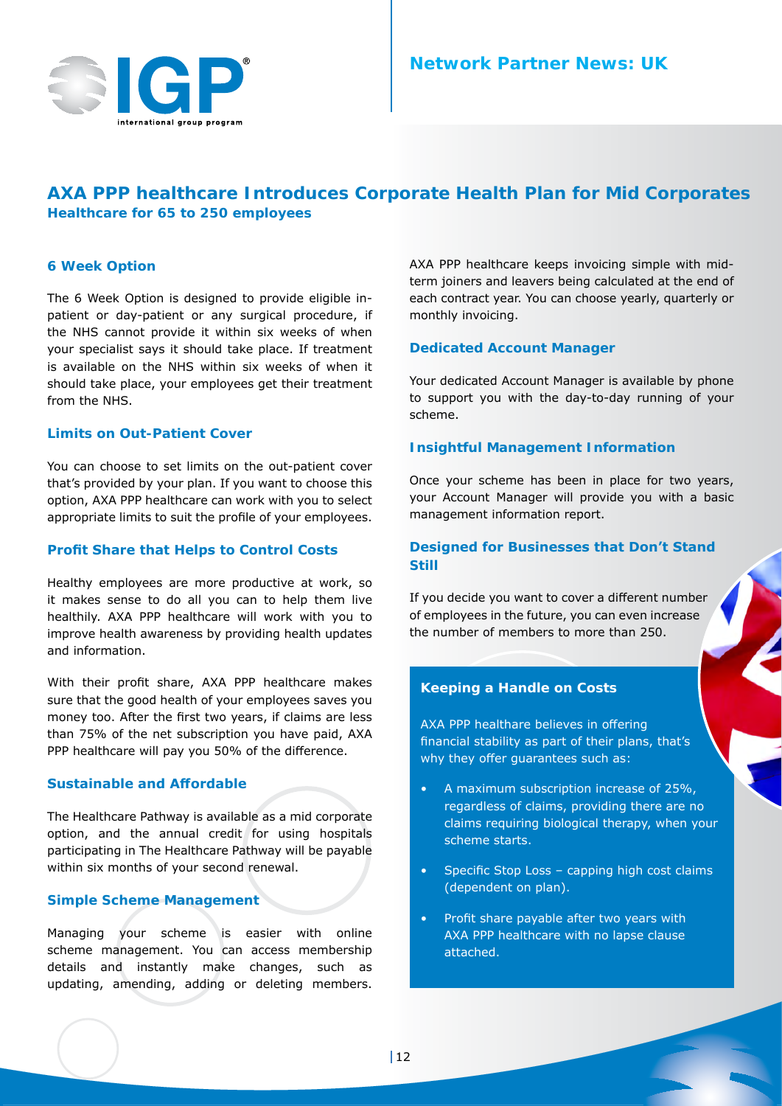## **AXA PPP healthcare Introduces Corporate Health Plan for Mid Corporates Healthcare for 65 to 250 employees**

## **6 Week Option**

The 6 Week Option is designed to provide eligible inpatient or day-patient or any surgical procedure, if the NHS cannot provide it within six weeks of when your specialist says it should take place. If treatment is available on the NHS within six weeks of when it should take place, your employees get their treatment from the NHS.

## **Limits on Out-Patient Cover**

You can choose to set limits on the out-patient cover that's provided by your plan. If you want to choose this option, AXA PPP healthcare can work with you to select appropriate limits to suit the profile of your employees.

#### **Profit Share that Helps to Control Costs**

Healthy employees are more productive at work, so it makes sense to do all you can to help them live healthily. AXA PPP healthcare will work with you to improve health awareness by providing health updates and information.

With their profit share, AXA PPP healthcare makes sure that the good health of your employees saves you money too. After the first two years, if claims are less than 75% of the net subscription you have paid, AXA PPP healthcare will pay you 50% of the difference.

## **Sustainable and Affordable**

The Healthcare Pathway is available as a mid corporate option, and the annual credit for using hospitals participating in The Healthcare Pathway will be payable within six months of your second renewal.

## **Simple Scheme Management**

Managing your scheme is easier with online scheme management. You can access membership details and instantly make changes, such as updating, amending, adding or deleting members. AXA PPP healthcare keeps invoicing simple with midterm joiners and leavers being calculated at the end of each contract year. You can choose yearly, quarterly or monthly invoicing.

## **Dedicated Account Manager**

Your dedicated Account Manager is available by phone to support you with the day-to-day running of your scheme.

#### **Insightful Management Information**

Once your scheme has been in place for two years, your Account Manager will provide you with a basic management information report.

## **Designed for Businesses that Don't Stand Still**

If you decide you want to cover a different number of employees in the future, you can even increase the number of members to more than 250.

## **Keeping a Handle on Costs**

AXA PPP healthare believes in offering financial stability as part of their plans, that's why they offer guarantees such as:

- A maximum subscription increase of 25%, regardless of claims, providing there are no claims requiring biological therapy, when your scheme starts.
- Specific Stop Loss capping high cost claims (dependent on plan).
- Profit share payable after two years with AXA PPP healthcare with no lapse clause attached.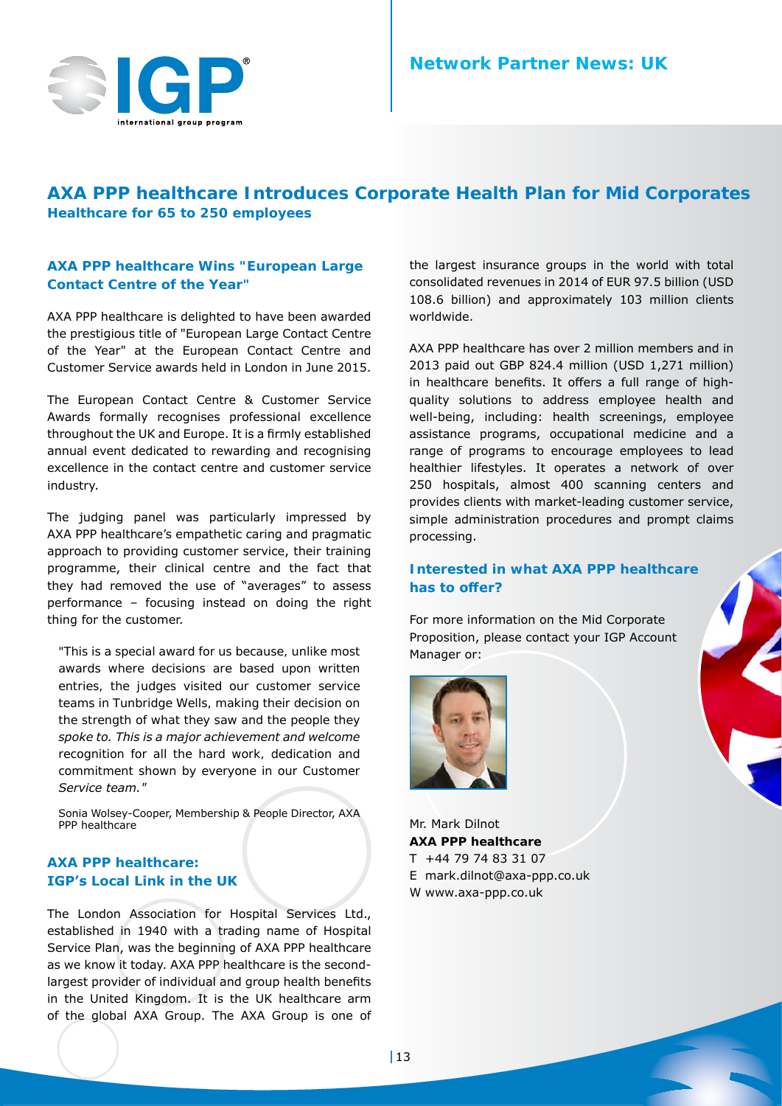

## **AXA PPP healthcare Introduces Corporate Health Plan for Mid Corporates Healthcare for 65 to 250 employees**

## **AXA PPP healthcare Wins "European Large Contact Centre of the Year"**

AXA PPP healthcare is delighted to have been awarded the prestigious title of "European Large Contact Centre of the Year" at the European Contact Centre and Customer Service awards held in London in June 2015.

The European Contact Centre & Customer Service Awards formally recognises professional excellence throughout the UK and Europe. It is a firmly established annual event dedicated to rewarding and recognising excellence in the contact centre and customer service industry.

The judging panel was particularly impressed by AXA PPP healthcare's empathetic caring and pragmatic approach to providing customer service, their training programme, their clinical centre and the fact that they had removed the use of "averages" to assess performance – focusing instead on doing the right thing for the customer.

*"This is a special award for us because, unlike most awards where decisions are based upon written entries, the judges visited our customer service teams in Tunbridge Wells, making their decision on the strength of what they saw and the people they spoke to. This is a major achievement and welcome recognition for all the hard work, dedication and commitment shown by everyone in our Customer Service team."* 

Sonia Wolsey-Cooper, Membership & People Director, AXA PPP healthcare

## **AXA PPP healthcare: IGP's Local Link in the UK**

The London Association for Hospital Services Ltd., established in 1940 with a trading name of Hospital Service Plan, was the beginning of AXA PPP healthcare as we know it today. AXA PPP healthcare is the secondlargest provider of individual and group health benefits in the United Kingdom. It is the UK healthcare arm of the global AXA Group. The AXA Group is one of the largest insurance groups in the world with total consolidated revenues in 2014 of EUR 97.5 billion (USD 108.6 billion) and approximately 103 million clients worldwide.

AXA PPP healthcare has over 2 million members and in 2013 paid out GBP 824.4 million (USD 1,271 million) in healthcare benefits. It offers a full range of highquality solutions to address employee health and well-being, including: health screenings, employee assistance programs, occupational medicine and a range of programs to encourage employees to lead healthier lifestyles. It operates a network of over 250 hospitals, almost 400 scanning centers and provides clients with market-leading customer service, simple administration procedures and prompt claims processing.

## **Interested in what AXA PPP healthcare has to offer?**

For more information on the Mid Corporate Proposition, please contact your IGP Account Manager or: 



Mr. Mark Dilnot **AXA PPP healthcare** T +44 79 74 83 31 07 E mark.dilnot@axa-ppp.co.uk W www.axa-ppp.co.uk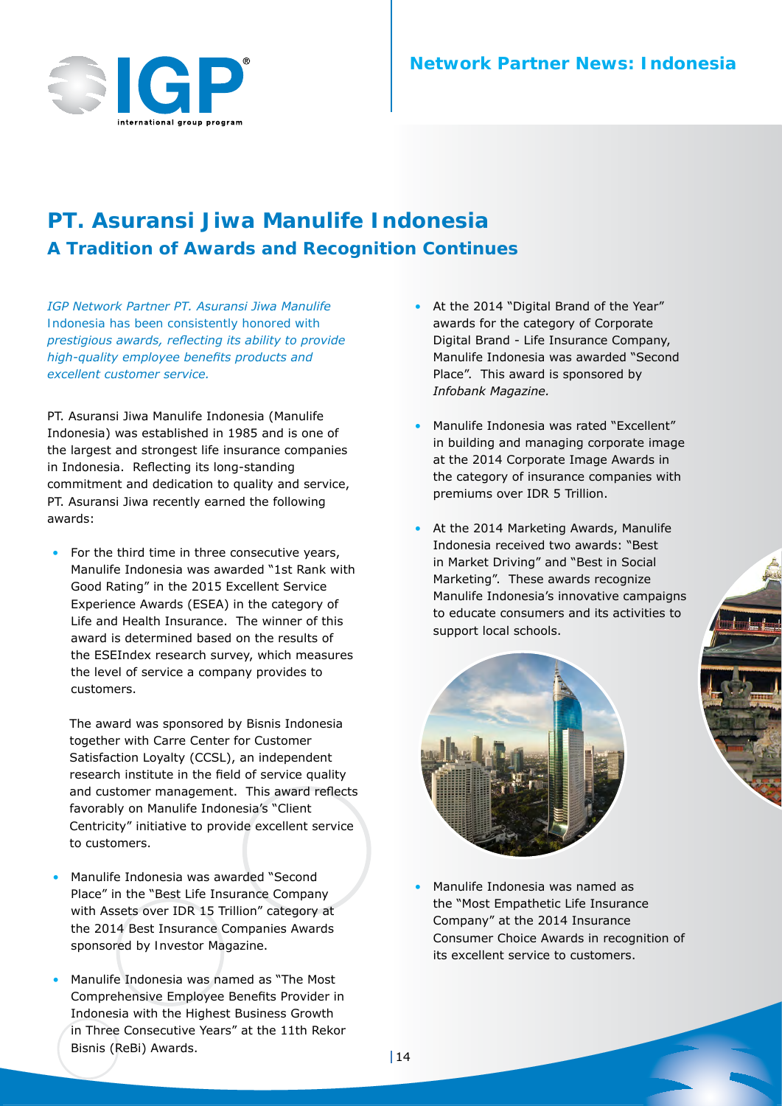

## **PT. Asuransi Jiwa Manulife Indonesia A Tradition of Awards and Recognition Continues**

*IGP Network Partner PT. Asuransi Jiwa Manulife Indonesia has been consistently honored with prestigious awards, reflecting its ability to provide high-quality employee benefits products and excellent customer service.*

PT. Asuransi Jiwa Manulife Indonesia (Manulife Indonesia) was established in 1985 and is one of the largest and strongest life insurance companies in Indonesia. Reflecting its long-standing commitment and dedication to quality and service, PT. Asuransi Jiwa recently earned the following awards:

• For the third time in three consecutive years, Manulife Indonesia was awarded "1st Rank with Good Rating" in the 2015 Excellent Service Experience Awards (ESEA) in the category of Life and Health Insurance. The winner of this award is determined based on the results of the ESEIndex research survey, which measures the level of service a company provides to customers.

The award was sponsored by Bisnis Indonesia together with Carre Center for Customer Satisfaction Loyalty (CCSL), an independent research institute in the field of service quality and customer management. This award reflects favorably on Manulife Indonesia's "Client Centricity" initiative to provide excellent service to customers.

- Manulife Indonesia was awarded "Second Place" in the "Best Life Insurance Company with Assets over IDR 15 Trillion" category at the 2014 Best Insurance Companies Awards sponsored by *Investor Magazine*.
- Manulife Indonesia was named as "The Most" Comprehensive Employee Benefits Provider in Indonesia with the Highest Business Growth in Three Consecutive Years" at the 11th Rekor Bisnis (ReBi) Awards.
- At the 2014 "Digital Brand of the Year" awards for the category of Corporate Digital Brand - Life Insurance Company, Manulife Indonesia was awarded "Second Place". This award is sponsored by *Infobank Magazine.*
- • Manulife Indonesia was rated "Excellent" in building and managing corporate image at the 2014 Corporate Image Awards in the category of insurance companies with premiums over IDR 5 Trillion.
- At the 2014 Marketing Awards, Manulife Indonesia received two awards: "Best in Market Driving" and "Best in Social Marketing". These awards recognize Manulife Indonesia's innovative campaigns to educate consumers and its activities to support local schools.



Manulife Indonesia was named as the "Most Empathetic Life Insurance Company" at the 2014 Insurance Consumer Choice Awards in recognition of its excellent service to customers.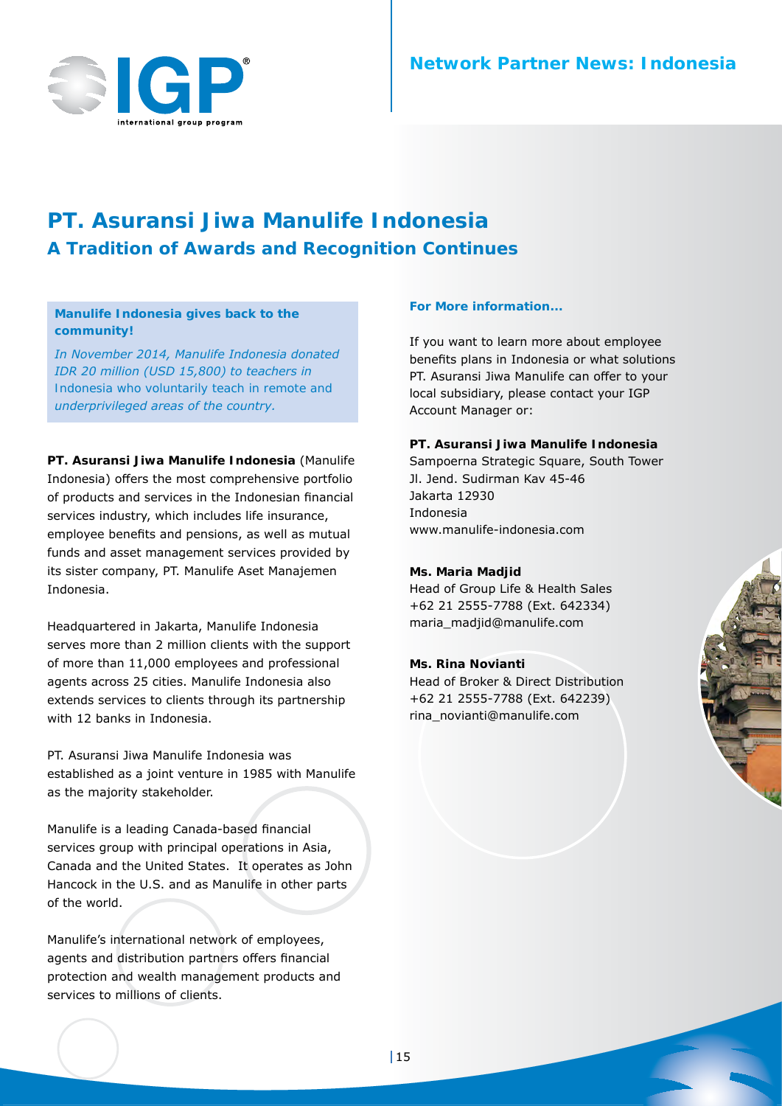

## **PT. Asuransi Jiwa Manulife Indonesia A Tradition of Awards and Recognition Continues**

## **Manulife Indonesia gives back to the community!**

*In November 2014, Manulife Indonesia donated IDR 20 million (USD 15,800) to teachers in Indonesia who voluntarily teach in remote and underprivileged areas of the country.*

**PT. Asuransi Jiwa Manulife Indonesia** (Manulife Indonesia) offers the most comprehensive portfolio of products and services in the Indonesian financial services industry, which includes life insurance, employee benefits and pensions, as well as mutual funds and asset management services provided by its sister company, PT. Manulife Aset Manajemen Indonesia.

Headquartered in Jakarta, Manulife Indonesia serves more than 2 million clients with the support of more than 11,000 employees and professional agents across 25 cities. Manulife Indonesia also extends services to clients through its partnership with 12 banks in Indonesia.

PT. Asuransi Jiwa Manulife Indonesia was established as a joint venture in 1985 with Manulife as the majority stakeholder.

Manulife is a leading Canada-based financial services group with principal operations in Asia, Canada and the United States. It operates as John Hancock in the U.S. and as Manulife in other parts of the world.

Manulife's international network of employees, agents and distribution partners offers financial protection and wealth management products and services to millions of clients.

#### **For More information...**

If you want to learn more about employee benefits plans in Indonesia or what solutions PT. Asuransi Jiwa Manulife can offer to your local subsidiary, please contact your IGP Account Manager or:

## **PT. Asuransi Jiwa Manulife Indonesia**

Sampoerna Strategic Square, South Tower Jl. Jend. Sudirman Kav 45-46 Jakarta 12930 Indonesia www.manulife-indonesia.com

#### **Ms. Maria Madjid**

Head of Group Life & Health Sales +62 21 2555-7788 (Ext. 642334) maria\_madjid@manulife.com

#### **Ms. Rina Novianti**

Head of Broker & Direct Distribution +62 21 2555-7788 (Ext. 642239) rina\_novianti@manulife.com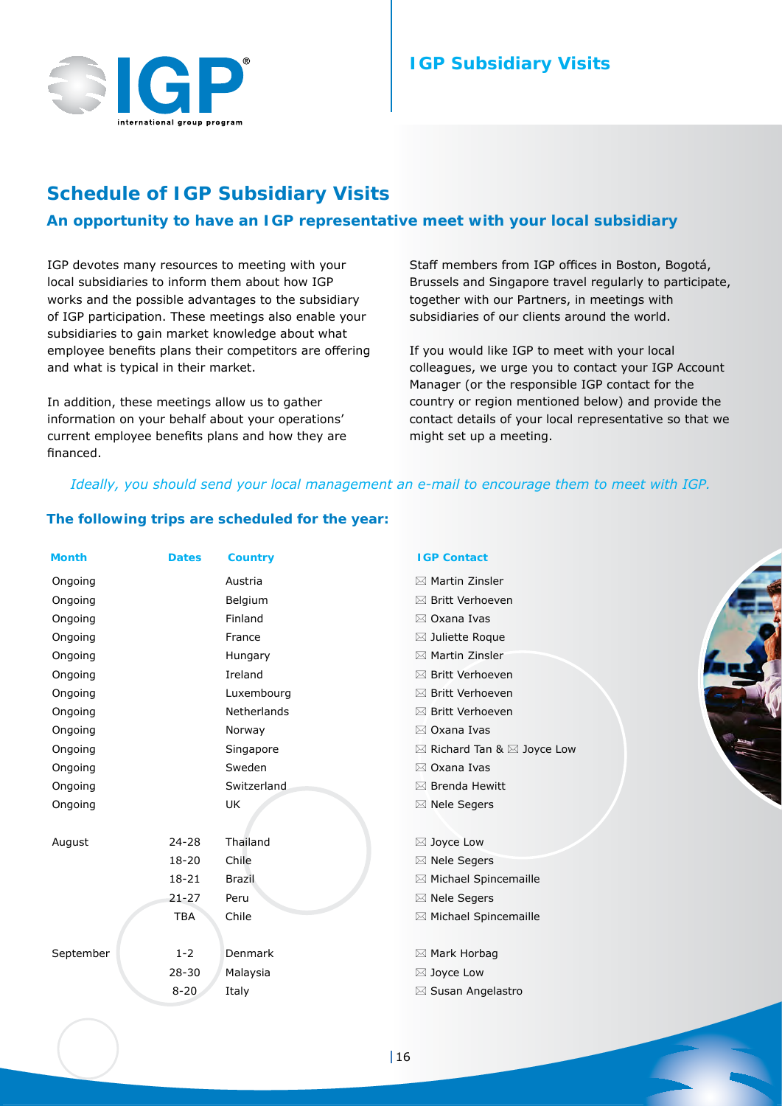

## **IGP Subsidiary Visits**

## **Schedule of IGP Subsidiary Visits**

## **An opportunity to have an IGP representative meet with your local subsidiary**

IGP devotes many resources to meeting with your local subsidiaries to inform them about how IGP works and the possible advantages to the subsidiary of IGP participation. These meetings also enable your subsidiaries to gain market knowledge about what employee benefits plans their competitors are offering and what is typical in their market.

In addition, these meetings allow us to gather information on your behalf about your operations' current employee benefits plans and how they are financed.

Staff members from IGP offices in Boston, Bogotá, Brussels and Singapore travel regularly to participate, together with our Partners, in meetings with subsidiaries of our clients around the world.

If you would like IGP to meet with your local colleagues, we urge you to contact your IGP Account Manager (or the responsible IGP contact for the country or region mentioned below) and provide the contact details of your local representative so that we might set up a meeting.

## *Ideally, you should send your local management an e-mail to encourage them to meet with IGP.*

#### **The following trips are scheduled for the year:**

| <b>Month</b> | <b>Dates</b> | <b>Country</b>     | <b>IGP Contact</b>          |
|--------------|--------------|--------------------|-----------------------------|
| Ongoing      |              | Austria            | $\boxtimes$ Martin Zinsler  |
| Ongoing      |              | Belgium            | ⊠ Britt Verhoeven           |
| Ongoing      |              | Finland            | $\boxtimes$ Oxana Ivas      |
| Ongoing      |              | France             | ⊠ Juliette Roque            |
| Ongoing      |              | Hungary            | $\boxtimes$ Martin Zinsler  |
| Ongoing      |              | Ireland            | ⊠ Britt Verhoeven           |
| Ongoing      |              | Luxembourg         | ⊠ Britt Verhoeven           |
| Ongoing      |              | Netherlands        | ⊠ Britt Verhoeven           |
| Ongoing      |              | Norway             | ⊠ Oxana Ivas                |
| Ongoing      |              | Singapore          | ⊠ Richard Tan & ⊠ Joyce Low |
| Ongoing      |              | Sweden             | $\boxtimes$ Oxana Ivas      |
| Ongoing      |              | <b>Switzerland</b> | ⊠ Brenda Hewitt             |
| Ongoing      |              | UK                 | ⊠ Nele Segers               |
|              |              |                    |                             |
| August       | $24 - 28$    | Thailand           | ⊠ Joyce Low                 |
|              | $18 - 20$    | Chile              | ⊠ Nele Segers               |
|              | $18 - 21$    | <b>Brazil</b>      | ⊠ Michael Spincemaille      |
|              | $21 - 27$    | Peru               | ⊠ Nele Segers               |
|              | <b>TBA</b>   | Chile              | ⊠ Michael Spincemaille      |
|              |              |                    |                             |
| September    | $1 - 2$      | <b>Denmark</b>     | ⊠ Mark Horbag               |
|              | $28 - 30$    | Malaysia           | ⊠ Joyce Low                 |
|              | $8 - 20$     | Italy              | ⊠ Susan Angelastro          |
|              |              |                    |                             |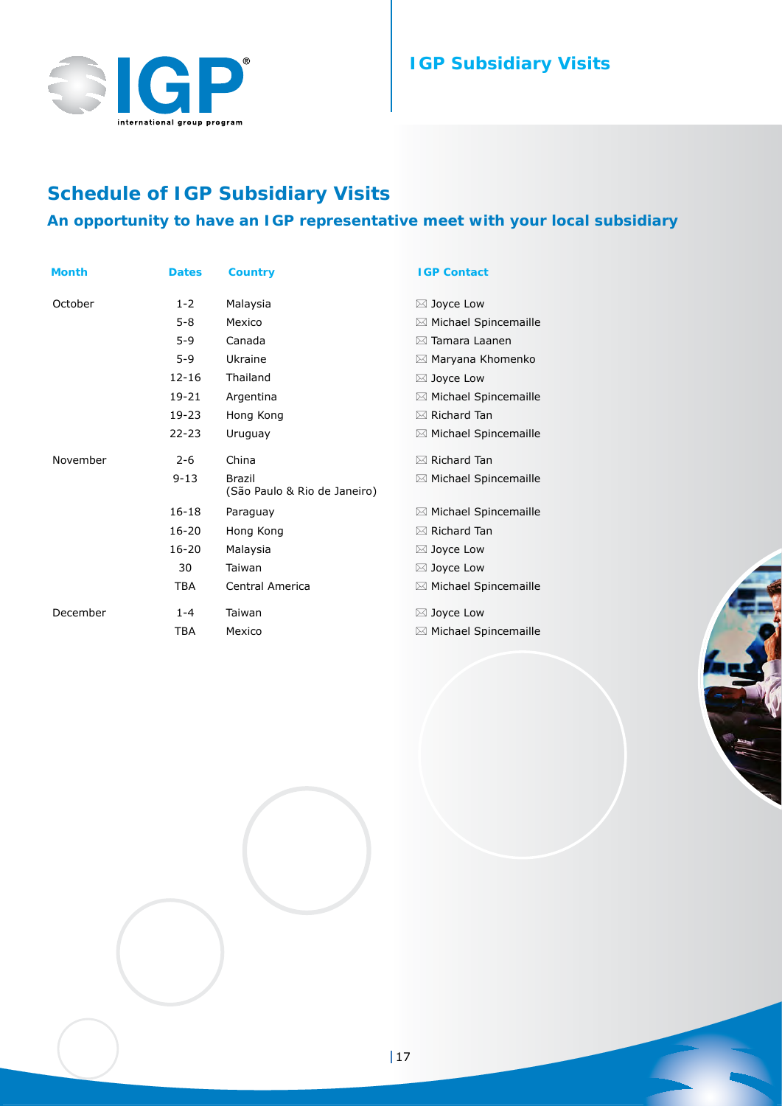

## **IGP Subsidiary Visits**

## **Schedule of IGP Subsidiary Visits**

## **An opportunity to have an IGP representative meet with your local subsidiary**

| <b>Month</b> | <b>Dates</b> | <b>Country</b>                         | <b>IGP Contact</b>               |
|--------------|--------------|----------------------------------------|----------------------------------|
| October      | $1 - 2$      | Malaysia                               | $\boxtimes$ Joyce Low            |
|              | $5 - 8$      | Mexico                                 | $\boxtimes$ Michael Spincemaille |
|              | $5-9$        | Canada                                 | $\boxtimes$ Tamara Laanen        |
|              | $5-9$        | Ukraine                                | ⊠ Maryana Khomenko               |
|              | $12 - 16$    | Thailand                               | $\boxtimes$ Joyce Low            |
|              | 19-21        | Argentina                              | $\boxtimes$ Michael Spincemaille |
|              | 19-23        | Hong Kong                              | $\boxtimes$ Richard Tan          |
|              | $22 - 23$    | Uruguay                                | $\boxtimes$ Michael Spincemaille |
| November     | $2 - 6$      | China                                  | $\boxtimes$ Richard Tan          |
|              | $9 - 13$     | Brazil<br>(São Paulo & Rio de Janeiro) | $\boxtimes$ Michael Spincemaille |
|              | $16 - 18$    | Paraguay                               | $\boxtimes$ Michael Spincemaille |
|              | $16 - 20$    | Hong Kong                              | $\boxtimes$ Richard Tan          |
|              | $16 - 20$    | Malaysia                               | $\boxtimes$ Joyce Low            |
|              | 30           | Taiwan                                 | $\boxtimes$ Joyce Low            |
|              | <b>TBA</b>   | Central America                        | $\boxtimes$ Michael Spincemaille |
| December     | $1 - 4$      | Taiwan                                 | $\boxtimes$ Joyce Low            |
|              | <b>TBA</b>   | Mexico                                 | $\boxtimes$ Michael Spincemaille |

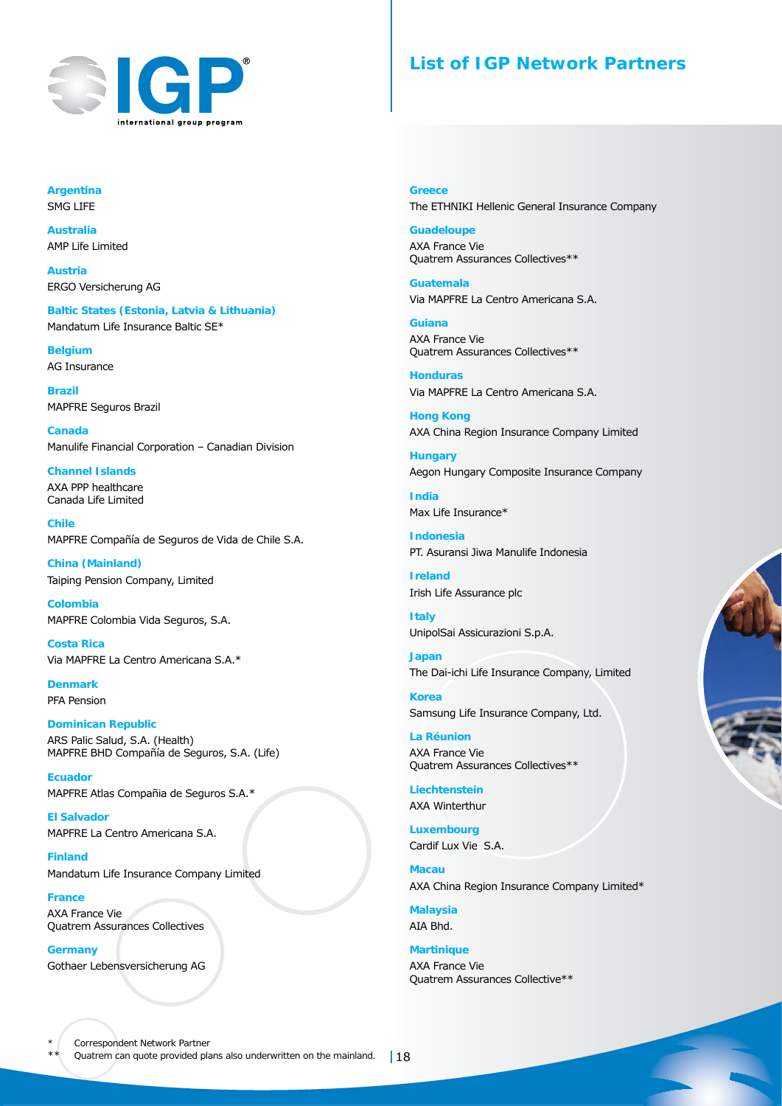

## **List of IGP Network Partners**

**Argentina** SMG LIFE 

**Australia** AMP Life Limited

**Austria** ERGO Versicherung AG

**Baltic States (Estonia, Latvia & Lithuania)** Mandatum Life Insurance Baltic SE\*

**Belgium** AG Insurance

**Brazil** MAPFRE Seguros Brazil

**Canada** Manulife Financial Corporation – Canadian Division

**Channel Islands** AXA PPP healthcare Canada Life Limited

**Chile** MAPFRE Compañía de Seguros de Vida de Chile S.A.

**China (Mainland)** Taiping Pension Company, Limited

**Colombia** MAPFRE Colombia Vida Seguros, S.A.

**Costa Rica** Via MAPFRE La Centro Americana S.A.\*

**Denmark** PFA Pension

#### **Dominican Republic** ARS Palic Salud, S.A. (Health) MAPFRE BHD Compañía de Seguros, S.A. (Life)

**Ecuador** MAPFRE Atlas Compañia de Seguros S.A.\*

**El Salvador** MAPFRE La Centro Americana S.A.

**Finland** Mandatum Life Insurance Company Limited

**France** AXA France Vie Quatrem Assurances Collectives

**Germany** Gothaer Lebensversicherung AG **Greece** The ETHNIKI Hellenic General Insurance Company

**Guadeloupe** AXA France Vie Quatrem Assurances Collectives\*\*

**Guatemala** Via MAPFRE La Centro Americana S.A.

**Guiana** AXA France Vie Quatrem Assurances Collectives\*\*

**Honduras** Via MAPFRE La Centro Americana S.A.

**Hong Kong** AXA China Region Insurance Company Limited

**Hungary** Aegon Hungary Composite Insurance Company

**India** Max Life Insurance\*

**Indonesia** PT. Asuransi Jiwa Manulife Indonesia

**Ireland** Irish Life Assurance plc

**Italy** UnipolSai Assicurazioni S.p.A.

**Japan** The Dai-ichi Life Insurance Company, Limited

**Korea** Samsung Life Insurance Company, Ltd.

**La Réunion** AXA France Vie Quatrem Assurances Collectives\*\*

**Liechtenstein** AXA Winterthur

**Luxembourg** Cardif Lux Vie S.A.

**Macau** AXA China Region Insurance Company Limited\*

**Malaysia** AIA Bhd.

**Martinique** AXA France Vie Quatrem Assurances Collective\*\*



\*\* Quatrem can quote provided plans also underwritten on the mainland. | 18 Correspondent Network Partner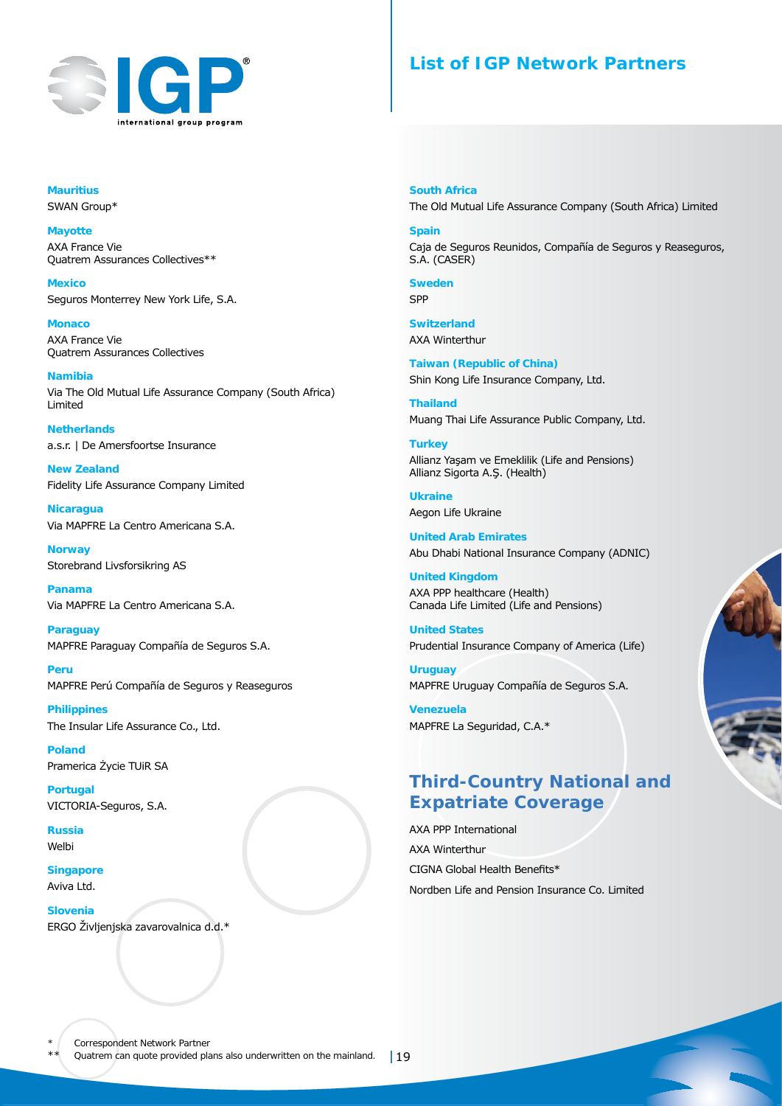

## **List of IGP Network Partners**

**Mauritius** SWAN Group\*

**Mayotte** AXA France Vie Quatrem Assurances Collectives\*\*

**Mexico** Seguros Monterrey New York Life, S.A.

**Monaco** AXA France Vie Quatrem Assurances Collectives

**Namibia** Via The Old Mutual Life Assurance Company (South Africa) Limited

**Netherlands** a.s.r. | De Amersfoortse Insurance

**New Zealand** Fidelity Life Assurance Company Limited

**Nicaragua**  Via MAPFRE La Centro Americana S.A.

**Norway** Storebrand Livsforsikring AS

**Panama** Via MAPFRE La Centro Americana S.A.

**Paraguay** MAPFRE Paraguay Compañía de Seguros S.A.

**Peru** MAPFRE Perú Compañía de Seguros y Reaseguros

**Philippines** The Insular Life Assurance Co., Ltd.

**Poland** Pramerica Życie TUiR SA

**Portugal** VICTORIA-Seguros, S.A.

**Russia** Welbi

**Singapore** Aviva Ltd.

**Slovenia** ERGO Življenjska zavarovalnica d.d.\* **South Africa** The Old Mutual Life Assurance Company (South Africa) Limited

**Spain** Caja de Seguros Reunidos, Compañía de Seguros y Reaseguros, S.A. (CASER)

**Sweden** SPP

**Switzerland** AXA Winterthur

**Taiwan (Republic of China)** Shin Kong Life Insurance Company, Ltd.

**Thailand** Muang Thai Life Assurance Public Company, Ltd.

**Turkey** Allianz Yaşam ve Emeklilik (Life and Pensions) Allianz Sigorta A.Ş. (Health)

**Ukraine** Aegon Life Ukraine

**United Arab Emirates** Abu Dhabi National Insurance Company (ADNIC)

**United Kingdom** AXA PPP healthcare (Health) Canada Life Limited (Life and Pensions)

**United States** Prudential Insurance Company of America (Life)

**Uruguay** MAPFRE Uruguay Compañía de Seguros S.A.

**Venezuela** MAPFRE La Seguridad, C.A.\*

## **Third-Country National and Expatriate Coverage**

AXA PPP International AXA Winterthur CIGNA Global Health Benefits\* Nordben Life and Pension Insurance Co. Limited